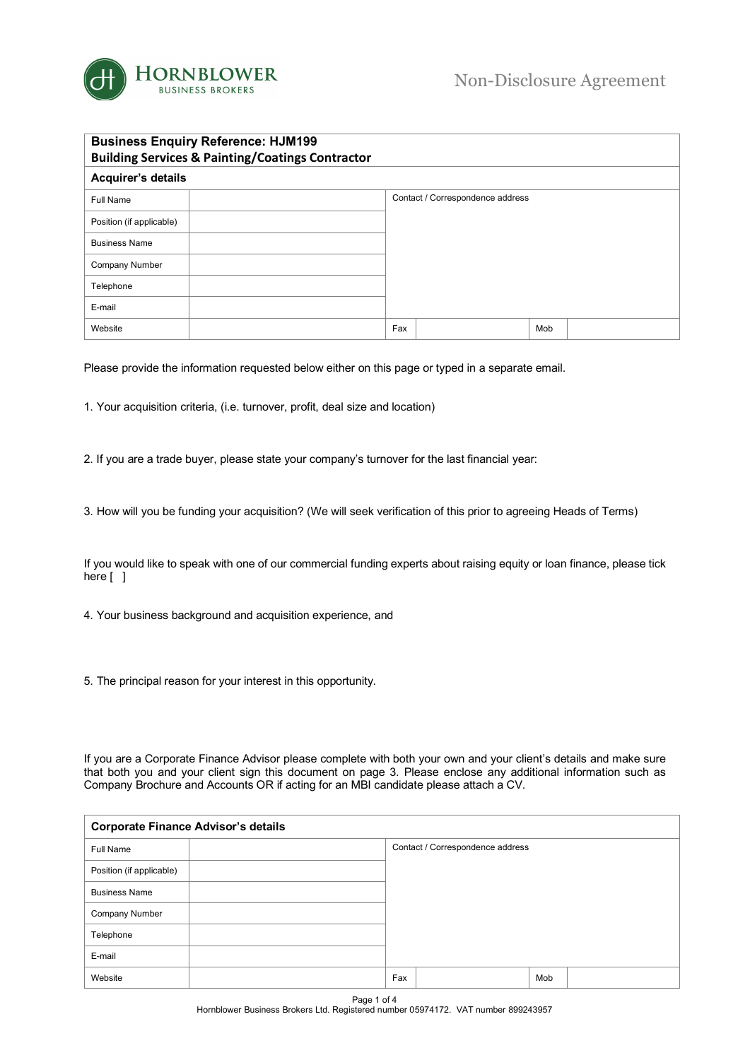

| <b>Business Enquiry Reference: HJM199</b><br><b>Building Services &amp; Painting/Coatings Contractor</b> |  |                                  |  |     |  |  |  |
|----------------------------------------------------------------------------------------------------------|--|----------------------------------|--|-----|--|--|--|
| Acquirer's details                                                                                       |  |                                  |  |     |  |  |  |
| Full Name                                                                                                |  | Contact / Correspondence address |  |     |  |  |  |
| Position (if applicable)                                                                                 |  |                                  |  |     |  |  |  |
| <b>Business Name</b>                                                                                     |  |                                  |  |     |  |  |  |
| Company Number                                                                                           |  |                                  |  |     |  |  |  |
| Telephone                                                                                                |  |                                  |  |     |  |  |  |
| E-mail                                                                                                   |  |                                  |  |     |  |  |  |
| Website                                                                                                  |  | Fax                              |  | Mob |  |  |  |

Please provide the information requested below either on this page or typed in a separate email.

1. Your acquisition criteria, (i.e. turnover, profit, deal size and location)

- 2. If you are a trade buyer, please state your company's turnover for the last financial year:
- 3. How will you be funding your acquisition? (We will seek verification of this prior to agreeing Heads of Terms)

If you would like to speak with one of our commercial funding experts about raising equity or loan finance, please tick here [ ]

- 4. Your business background and acquisition experience, and
- 5. The principal reason for your interest in this opportunity.

If you are a Corporate Finance Advisor please complete with both your own and your client's details and make sure that both you and your client sign this document on page 3. Please enclose any additional information such as Company Brochure and Accounts OR if acting for an MBI candidate please attach a CV.

| <b>Corporate Finance Advisor's details</b> |     |                                  |     |  |  |  |
|--------------------------------------------|-----|----------------------------------|-----|--|--|--|
| Full Name                                  |     | Contact / Correspondence address |     |  |  |  |
| Position (if applicable)                   |     |                                  |     |  |  |  |
| <b>Business Name</b>                       |     |                                  |     |  |  |  |
| Company Number                             |     |                                  |     |  |  |  |
| Telephone                                  |     |                                  |     |  |  |  |
| E-mail                                     |     |                                  |     |  |  |  |
| Website                                    | Fax |                                  | Mob |  |  |  |

Page 1 of 4 Hornblower Business Brokers Ltd. Registered number 05974172. VAT number 899243957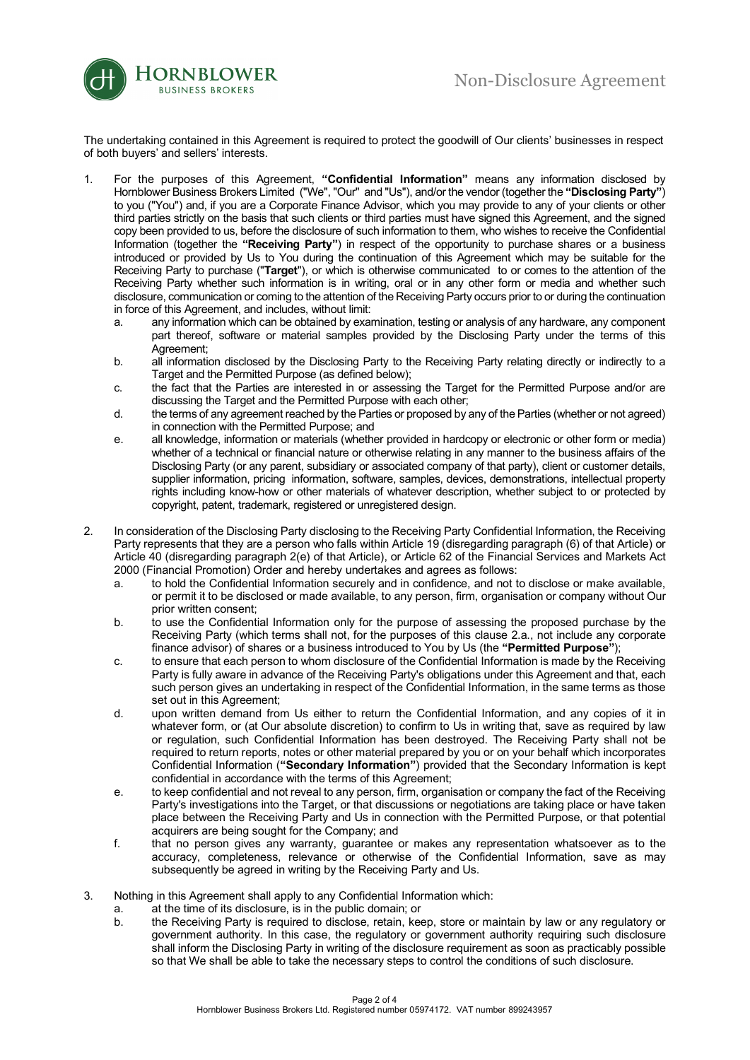

The undertaking contained in this Agreement is required to protect the goodwill of Our clients' businesses in respect of both buyers' and sellers' interests.

- 1. For the purposes of this Agreement, **"Confidential Information"** means any information disclosed by Hornblower Business Brokers Limited ("We", "Our" and "Us"), and/or the vendor (together the **"Disclosing Party"**) to you ("You") and, if you are a Corporate Finance Advisor, which you may provide to any of your clients or other third parties strictly on the basis that such clients or third parties must have signed this Agreement, and the signed copy been provided to us, before the disclosure of such information to them, who wishes to receive the Confidential Information (together the **"Receiving Party"**) in respect of the opportunity to purchase shares or a business introduced or provided by Us to You during the continuation of this Agreement which may be suitable for the Receiving Party to purchase ("**Target**"), or which is otherwise communicated to or comes to the attention of the Receiving Party whether such information is in writing, oral or in any other form or media and whether such disclosure, communication or coming to the attention of the Receiving Party occurs prior to or during the continuation in force of this Agreement, and includes, without limit:
	- a. any information which can be obtained by examination, testing or analysis of any hardware, any component part thereof, software or material samples provided by the Disclosing Party under the terms of this Agreement;
	- b. all information disclosed by the Disclosing Party to the Receiving Party relating directly or indirectly to a Target and the Permitted Purpose (as defined below):
	- c. the fact that the Parties are interested in or assessing the Target for the Permitted Purpose and/or are discussing the Target and the Permitted Purpose with each other;
	- d. the terms of any agreement reached by the Parties or proposed by any of the Parties (whether or not agreed) in connection with the Permitted Purpose; and
	- e. all knowledge, information or materials (whether provided in hardcopy or electronic or other form or media) whether of a technical or financial nature or otherwise relating in any manner to the business affairs of the Disclosing Party (or any parent, subsidiary or associated company of that party), client or customer details, supplier information, pricing information, software, samples, devices, demonstrations, intellectual property rights including know-how or other materials of whatever description, whether subject to or protected by copyright, patent, trademark, registered or unregistered design.
- 2. In consideration of the Disclosing Party disclosing to the Receiving Party Confidential Information, the Receiving Party represents that they are a person who falls within Article 19 (disregarding paragraph (6) of that Article) or Article 40 (disregarding paragraph 2(e) of that Article), or Article 62 of the Financial Services and Markets Act 2000 (Financial Promotion) Order and hereby undertakes and agrees as follows:
	- a. to hold the Confidential Information securely and in confidence, and not to disclose or make available, or permit it to be disclosed or made available, to any person, firm, organisation or company without Our prior written consent;
	- b. to use the Confidential Information only for the purpose of assessing the proposed purchase by the Receiving Party (which terms shall not, for the purposes of this clause 2.a., not include any corporate finance advisor) of shares or a business introduced to You by Us (the **"Permitted Purpose"**);
	- c. to ensure that each person to whom disclosure of the Confidential Information is made by the Receiving Party is fully aware in advance of the Receiving Party's obligations under this Agreement and that, each such person gives an undertaking in respect of the Confidential Information, in the same terms as those set out in this Agreement;
	- d. upon written demand from Us either to return the Confidential Information, and any copies of it in whatever form, or (at Our absolute discretion) to confirm to Us in writing that, save as required by law or regulation, such Confidential Information has been destroyed. The Receiving Party shall not be required to return reports, notes or other material prepared by you or on your behalf which incorporates Confidential Information (**"Secondary Information"**) provided that the Secondary Information is kept confidential in accordance with the terms of this Agreement;
	- e. to keep confidential and not reveal to any person, firm, organisation or company the fact of the Receiving Party's investigations into the Target, or that discussions or negotiations are taking place or have taken place between the Receiving Party and Us in connection with the Permitted Purpose, or that potential acquirers are being sought for the Company; and
	- f. that no person gives any warranty, guarantee or makes any representation whatsoever as to the accuracy, completeness, relevance or otherwise of the Confidential Information, save as may subsequently be agreed in writing by the Receiving Party and Us.
- 3. Nothing in this Agreement shall apply to any Confidential Information which:
	- a. at the time of its disclosure, is in the public domain; or
	- b. the Receiving Party is required to disclose, retain, keep, store or maintain by law or any regulatory or government authority. In this case, the regulatory or government authority requiring such disclosure shall inform the Disclosing Party in writing of the disclosure requirement as soon as practicably possible so that We shall be able to take the necessary steps to control the conditions of such disclosure.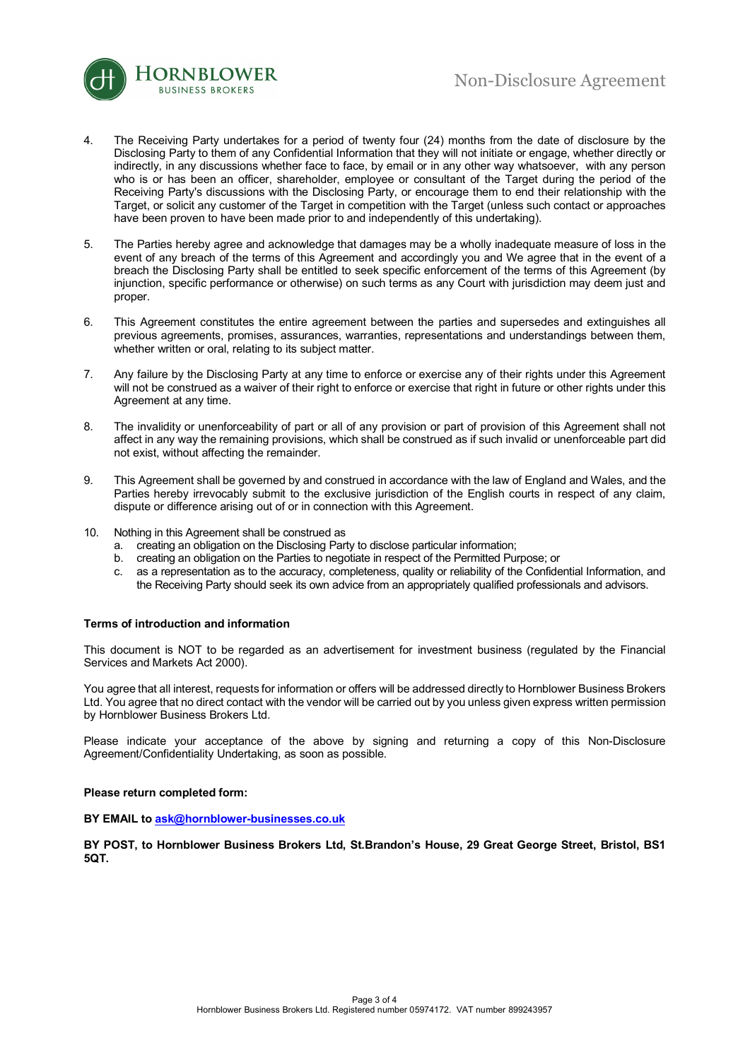

- 4. The Receiving Party undertakes for a period of twenty four (24) months from the date of disclosure by the Disclosing Party to them of any Confidential Information that they will not initiate or engage, whether directly or indirectly, in any discussions whether face to face, by email or in any other way whatsoever, with any person who is or has been an officer, shareholder, employee or consultant of the Target during the period of the Receiving Party's discussions with the Disclosing Party, or encourage them to end their relationship with the Target, or solicit any customer of the Target in competition with the Target (unless such contact or approaches have been proven to have been made prior to and independently of this undertaking).
- 5. The Parties hereby agree and acknowledge that damages may be a wholly inadequate measure of loss in the event of any breach of the terms of this Agreement and accordingly you and We agree that in the event of a breach the Disclosing Party shall be entitled to seek specific enforcement of the terms of this Agreement (by injunction, specific performance or otherwise) on such terms as any Court with jurisdiction may deem just and proper.
- 6. This Agreement constitutes the entire agreement between the parties and supersedes and extinguishes all previous agreements, promises, assurances, warranties, representations and understandings between them, whether written or oral, relating to its subject matter.
- 7. Any failure by the Disclosing Party at any time to enforce or exercise any of their rights under this Agreement will not be construed as a waiver of their right to enforce or exercise that right in future or other rights under this Agreement at any time.
- 8. The invalidity or unenforceability of part or all of any provision or part of provision of this Agreement shall not affect in any way the remaining provisions, which shall be construed as if such invalid or unenforceable part did not exist, without affecting the remainder.
- 9. This Agreement shall be governed by and construed in accordance with the law of England and Wales, and the Parties hereby irrevocably submit to the exclusive jurisdiction of the English courts in respect of any claim, dispute or difference arising out of or in connection with this Agreement.
- 10. Nothing in this Agreement shall be construed as
	- a. creating an obligation on the Disclosing Party to disclose particular information;
	- b. creating an obligation on the Parties to negotiate in respect of the Permitted Purpose; or
	- c. as a representation as to the accuracy, completeness, quality or reliability of the Confidential Information, and the Receiving Party should seek its own advice from an appropriately qualified professionals and advisors.

## **Terms of introduction and information**

This document is NOT to be regarded as an advertisement for investment business (regulated by the Financial Services and Markets Act 2000).

You agree that all interest, requests for information or offers will be addressed directly to Hornblower Business Brokers Ltd. You agree that no direct contact with the vendor will be carried out by you unless given express written permission by Hornblower Business Brokers Ltd.

Please indicate your acceptance of the above by signing and returning a copy of this Non-Disclosure Agreement/Confidentiality Undertaking, as soon as possible.

## **Please return completed form:**

**BY EMAIL to ask@hornblower-businesses.co.uk**

**BY POST, to Hornblower Business Brokers Ltd, St.Brandon's House, 29 Great George Street, Bristol, BS1 5QT.**